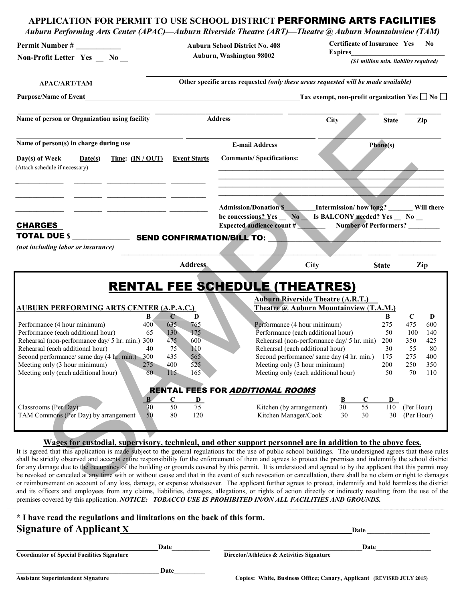# person or Organization using facility **Address**<br> **EVALUATELY CONTRACTION CONTRACTION (SECURE CONTRACTIONS)**<br>
SAMPLE CONTRACT CONTRACT CONTRACT CONTRACT CONTRACT CONTRACT CONTRACT CONTRACT CONTRACT CONTRACT CONTRACT CONTRA **APPLICATION FOR PERMIT TO USE SCHOOL DISTRICT** PERFORMING ARTS FACILITIES *Auburn Performing Arts Center (APAC)—Auburn Riverside Theatre (ART)—Theatre @ Auburn Mountainview (TAM)* **Permit Number # \_\_\_\_\_\_\_\_\_\_\_\_\_ Auburn School District No. 408 Auburn, Washington 98002 Certificate of Insurance Yes No Expires** *(\$1 million min. liability required)* **Other specific areas requested** *(only these areas requested will be made available)* **APAC/ART/TAM Purpose/Name of Event Tax exempt, non-profit organization Yes** No  $\Box$  No  $\Box$ \_\_\_\_\_\_\_\_\_\_\_\_\_\_\_\_\_\_\_\_\_\_\_\_\_\_\_\_\_ \_\_\_\_\_\_\_\_\_\_\_\_\_\_\_\_\_\_\_\_\_\_\_\_\_\_\_\_ \_\_\_\_\_\_\_\_\_\_\_\_\_\_\_\_\_\_\_\_ \_\_\_ \_\_\_\_\_\_\_\_ **Name of person or Organization using facility** Address City State Zip Name of person(s) in charge during use **E-mail Address Phone(s) \_\_\_\_\_\_\_\_\_\_\_\_\_\_\_\_\_\_\_\_\_\_\_\_\_\_\_\_\_\_\_\_\_\_\_\_\_\_\_\_\_\_\_\_\_\_\_\_\_\_\_\_\_\_\_\_\_\_\_\_\_\_\_\_\_ \_\_\_\_\_\_\_\_\_\_\_\_\_\_\_\_\_\_\_\_\_\_\_\_\_\_\_\_\_\_\_\_\_\_\_\_\_\_\_\_\_\_\_\_\_\_\_\_\_\_\_\_\_\_\_\_\_\_\_\_\_\_\_\_\_ \_\_\_\_\_\_\_\_\_\_\_\_\_\_\_\_\_\_\_\_\_\_\_\_\_\_\_\_\_\_\_\_\_\_\_\_\_\_\_\_\_\_\_\_\_\_\_\_\_\_\_\_\_\_\_\_\_\_\_\_\_\_\_\_\_ \_\_\_\_\_\_\_\_\_\_\_\_\_\_\_\_\_\_\_\_\_\_\_\_\_\_\_\_\_\_\_\_\_\_\_\_\_\_\_\_\_\_\_\_\_\_\_\_\_\_\_\_\_\_\_\_\_\_\_\_\_\_\_\_\_**  (Attach schedule if necessary) **\_\_\_\_\_\_\_\_\_\_\_\_\_\_ \_\_\_\_\_\_\_\_ \_\_\_\_\_\_\_\_\_\_\_\_\_\_\_\_\_ \_\_\_\_\_\_\_\_\_\_ \_\_\_\_\_\_\_\_\_\_\_\_\_\_ \_\_\_\_\_\_\_\_ \_\_\_\_\_\_\_\_\_\_\_\_\_\_\_\_\_ \_\_\_\_\_\_\_\_\_\_ \_\_\_\_\_\_\_\_\_\_\_\_\_\_ \_\_\_\_\_\_\_\_ \_\_\_\_\_\_\_\_\_\_\_\_\_\_\_\_\_ \_\_\_\_\_\_\_\_\_\_\_**  CHARGES Admission/Donation \$ **Monocontract Intermission/ how long?** Will there be concessions? Yes \_\_ No \_\_ Is BALCONY needed? Yes \_\_ No \_\_ **Expected audience count # \_\_\_\_\_\_\_\_ Number of Performers? \_\_\_\_\_\_\_\_\_** TOTAL DUE **\$ \_\_\_\_\_\_\_\_\_\_\_\_\_\_\_** *(not including labor or insurance)*  SEND CONFIRMATION/BILL TO**: \_\_\_\_\_\_\_\_\_\_\_\_\_\_\_\_\_\_\_\_\_\_\_\_\_\_\_\_\_\_\_\_\_\_\_\_\_\_\_\_\_\_\_\_\_\_\_\_\_\_ State** RENTAL FEE SCHEDULE (THEATRES) **Auburn Riverside Theatre (A.R.T.) AUBURN PERFORMING ARTS CENTER** (**A.P.A.C.) Theatre @ Auburn Mountainview** (**T.A.M.) B C D B C D** Performance (4 hour minimum)  $\frac{400}{65} = \frac{65}{130} = \frac{765}{175}$  Performance (4 hour minimum)  $\frac{275}{50} = \frac{475}{100} = \frac{600}{140}$ Performance (each additional hour) 65 130 175 Performance (each additional hour) 50 100 140<br>Rehearsal (non-performance day/ 5 hr. min.) 300 475 600 Rehearsal (non-performance day/ 5 hr. min) 200 350 425 Rehearsal (non-performance day/ 5 hr. min.) 300 475 600 Rehearsal (non-performance day/ 5 hr. min) 200 350 425<br>Rehearsal (each additional hour) 40 75 110 Rehearsal (each additional hour) 30 55 80 Rehearsal (each additional hour) 40 75 110 Rehearsal (each additional hour) 30 55 80<br>Second performance/ same day (4 hr, min, 300 435 565 80 Record performance/ same day (4 hr, min, 175 275 400 Second performance/ same day (4 hr. min.) 300 435 565 Second performance/ same day (4 hr. min.) 175 275 400 Meeting only (3 hour minimum) 275 400 525 Meeting only (3 hour minimum) 200 250 350 Meeting only (each additional hour) 60 115 165 Meeting only (each additional hour) 50 70 110 RENTAL FEES FOR ADDITIONAL ROOMS  **B C D B C D**  Classrooms (Per Day) 30 50 75 Kitchen (by arrangement) 30 55 110 (Per Hour) TAM Commons (Per Day) by arrangement 50 80 120 Kitchen Manager/Cook 30 30 30 (Per Hour) **\_\_\_\_\_\_\_\_\_\_\_\_\_\_\_\_\_\_\_\_\_\_\_\_\_\_\_\_\_\_\_\_\_\_\_ \_\_\_\_\_\_\_\_\_\_\_\_\_\_\_\_\_\_\_\_\_\_\_\_\_\_\_ \_\_\_\_\_\_ \_\_\_\_\_\_\_\_\_\_ Address City Zip Non-Profit Letter Yes \_\_ No \_\_ Day(s) of Week Date(s) Time: (IN / OUT) Event Starts Comments/ Specifications:**

#### **Wages for custodial, supervisory, technical, and other support personnel are in addition to the above fees.**

It is agreed that this application is made subject to the general regulations for the use of public school buildings. The undersigned agrees that these rules shall be strictly observed and accepts entire responsibility for the enforcement of them and agrees to protect the premises and indemnify the school district for any damage due to the occupancy of the building or grounds covered by this permit. It is understood and agreed to by the applicant that this permit may be revoked or canceled at any time with or without cause and that in the event of such revocation or cancellation, there shall be no claim or right to damages or reimbursement on account of any loss, damage, or expense whatsoever. The applicant further agrees to protect, indemnify and hold harmless the district and its officers and employees from any claims, liabilities, damages, allegations, or rights of action directly or indirectly resulting from the use of the premises covered by this application. *NOTICE: TOBACCO USE IS PROHIBITED IN/ON ALL FACILITIES AND GROUNDS.*

| * I have read the regulations and limitations on the back of this form. |      |                                                                       |
|-------------------------------------------------------------------------|------|-----------------------------------------------------------------------|
| Signature of Applicant $\underline{X}$                                  |      | <b>Date</b>                                                           |
|                                                                         | Date | Date                                                                  |
| <b>Coordinator of Special Facilities Signature</b>                      |      | Director/Athletics & Activities Signature                             |
|                                                                         | Date |                                                                       |
| <b>Assistant Superintendent Signature</b>                               |      | Copies: White, Business Office: Canary, Applicant (REVISED JULY 2015) |